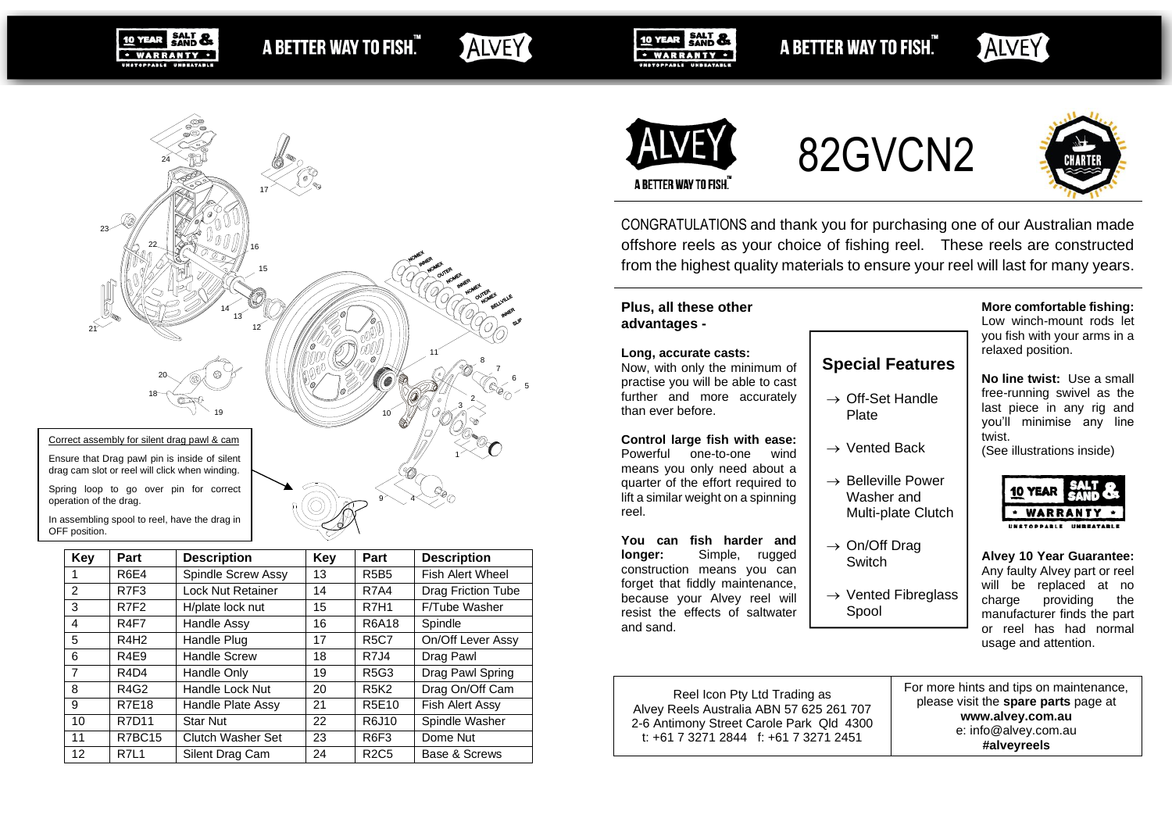**SALT &** A BETTER WAY TO FISH." · WARRANTY ·

# ALVEY

5 6 7 8

9 - 4 - 9

10 YEAR SALT & · WARRANTY ·

A BETTER WAY TO FISH."

# ALVEY



82GVCN2



A BETTER WAY TO FISH.

CONGRATULATIONS and thank you for purchasing one of our Australian made offshore reels as your choice of fishing reel. These reels are constructed from the highest quality materials to ensure your reel will last for many years.

#### **Plus, all these other advantages -**

#### **Long, accurate casts:**

Now, with only the minimum of practise you will be able to cast further and more accurately than ever before.

#### **Control large fish with ease:**

Powerful one-to-one wind means you only need about a quarter of the effort required to lift a similar weight on a spinning reel.

#### **You can fish harder and longer:** Simple, rugged construction means you can forget that fiddly maintenance, because your Alvey reel will resist the effects of saltwater

and sand.

**More comfortable fishing:**

Low winch-mount rods let you fish with your arms in a relaxed position.

**No line twist:** Use a small free-running swivel as the last piece in any rig and you'll minimise any line twist.

(See illustrations inside)



**Alvey 10 Year Guarantee:** Any faulty Alvey part or reel will be replaced at no charge providing the manufacturer finds the part or reel has had normal usage and attention.

Reel Icon Pty Ltd Trading as Alvey Reels Australia ABN 57 625 261 707 2-6 Antimony Street Carole Park Qld 4300 t: +61 7 3271 2844 f: +61 7 3271 2451

# **Special Features**

- $\rightarrow$  Off-Set Handle Plate
- $\rightarrow$  Vented Back
- $\rightarrow$  Belleville Power Washer and Multi-plate Clutch
- $\rightarrow$  On/Off Drag **Switch**
- $\rightarrow$  Vented Fibreglass Spool





Spring loop to go over pin for correct operation of the drag.

10 YEAR

In assembling spool to reel, have the drag in OFF position.

| Key            | Part                          | <b>Description</b>       | Key | Part             | <b>Description</b>      |  |
|----------------|-------------------------------|--------------------------|-----|------------------|-------------------------|--|
| 1              | <b>R6E4</b>                   | Spindle Screw Assy       | 13  | <b>R5B5</b>      | <b>Fish Alert Wheel</b> |  |
| 2              | R7F3                          | <b>Lock Nut Retainer</b> | 14  | <b>R7A4</b>      | Drag Friction Tube      |  |
| 3              | R7F2                          | H/plate lock nut         | 15  | <b>R7H1</b>      | F/Tube Washer           |  |
| 4              | R4F7                          | Handle Assy              | 16  | R6A18            | Spindle                 |  |
| 5              | R4H <sub>2</sub>              | Handle Plug              | 17  | <b>R5C7</b>      | On/Off Lever Assy       |  |
| 6              | R <sub>4E9</sub>              | <b>Handle Screw</b>      | 18  | R7J4             | Drag Pawl               |  |
| $\overline{7}$ | R <sub>4</sub> D <sub>4</sub> | Handle Only              | 19  | <b>R5G3</b>      | Drag Pawl Spring        |  |
| 8              | R4G2                          | Handle Lock Nut          | 20  | <b>R5K2</b>      | Drag On/Off Cam         |  |
| 9              | <b>R7E18</b>                  | Handle Plate Assy        | 21  | R5E10            | Fish Alert Assy         |  |
| 10             | <b>R7D11</b>                  | <b>Star Nut</b>          | 22  | R6J10            | Spindle Washer          |  |
| 11             | R7BC15                        | Clutch Washer Set        | 23  | R <sub>6F3</sub> | Dome Nut                |  |
| 12             | <b>R7L1</b>                   | Silent Drag Cam          | 24  | <b>R2C5</b>      | Base & Screws           |  |